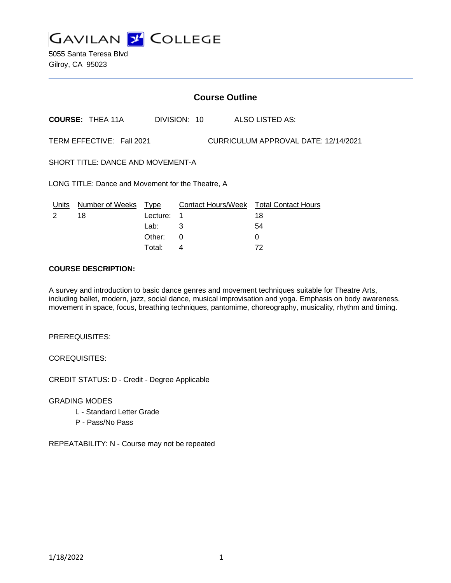**GAVILAN Z COLLEGE** 

5055 Santa Teresa Blvd Gilroy, CA 95023

## **Course Outline**

**COURSE:** THEA 11A DIVISION: 10 ALSO LISTED AS:

TERM EFFECTIVE: Fall 2021 CURRICULUM APPROVAL DATE: 12/14/2021

SHORT TITLE: DANCE AND MOVEMENT-A

LONG TITLE: Dance and Movement for the Theatre, A

| Units | Number of Weeks Type |            | Contact Hours/Week Total Contact Hours |    |
|-------|----------------------|------------|----------------------------------------|----|
|       | 18                   | Lecture: 1 |                                        | 18 |
|       |                      | Lab: __    |                                        | 54 |
|       |                      | Other: 0   |                                        |    |
|       |                      | Total:     |                                        | 72 |

### **COURSE DESCRIPTION:**

A survey and introduction to basic dance genres and movement techniques suitable for Theatre Arts, including ballet, modern, jazz, social dance, musical improvisation and yoga. Emphasis on body awareness, movement in space, focus, breathing techniques, pantomime, choreography, musicality, rhythm and timing.

PREREQUISITES:

COREQUISITES:

CREDIT STATUS: D - Credit - Degree Applicable

GRADING MODES

- L Standard Letter Grade
- P Pass/No Pass

REPEATABILITY: N - Course may not be repeated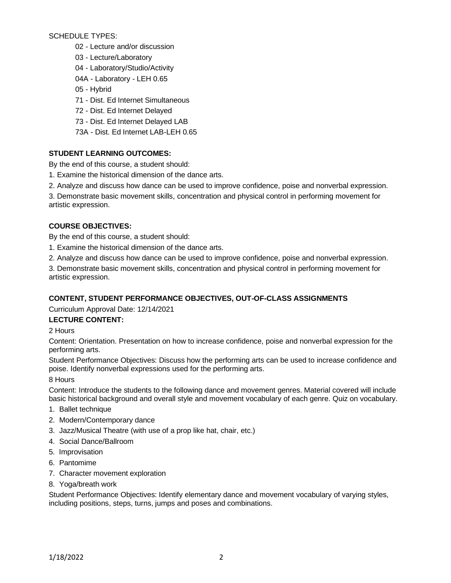SCHEDULE TYPES:

- 02 Lecture and/or discussion
- 03 Lecture/Laboratory
- 04 Laboratory/Studio/Activity
- 04A Laboratory LEH 0.65
- 05 Hybrid
- 71 Dist. Ed Internet Simultaneous
- 72 Dist. Ed Internet Delayed
- 73 Dist. Ed Internet Delayed LAB
- 73A Dist. Ed Internet LAB-LEH 0.65

# **STUDENT LEARNING OUTCOMES:**

By the end of this course, a student should:

- 1. Examine the historical dimension of the dance arts.
- 2. Analyze and discuss how dance can be used to improve confidence, poise and nonverbal expression.

3. Demonstrate basic movement skills, concentration and physical control in performing movement for artistic expression.

# **COURSE OBJECTIVES:**

By the end of this course, a student should:

- 1. Examine the historical dimension of the dance arts.
- 2. Analyze and discuss how dance can be used to improve confidence, poise and nonverbal expression.

3. Demonstrate basic movement skills, concentration and physical control in performing movement for artistic expression.

# **CONTENT, STUDENT PERFORMANCE OBJECTIVES, OUT-OF-CLASS ASSIGNMENTS**

Curriculum Approval Date: 12/14/2021

# **LECTURE CONTENT:**

2 Hours

Content: Orientation. Presentation on how to increase confidence, poise and nonverbal expression for the performing arts.

Student Performance Objectives: Discuss how the performing arts can be used to increase confidence and poise. Identify nonverbal expressions used for the performing arts.

8 Hours

Content: Introduce the students to the following dance and movement genres. Material covered will include basic historical background and overall style and movement vocabulary of each genre. Quiz on vocabulary.

- 1. Ballet technique
- 2. Modern/Contemporary dance
- 3. Jazz/Musical Theatre (with use of a prop like hat, chair, etc.)
- 4. Social Dance/Ballroom
- 5. Improvisation
- 6. Pantomime
- 7. Character movement exploration
- 8. Yoga/breath work

Student Performance Objectives: Identify elementary dance and movement vocabulary of varying styles, including positions, steps, turns, jumps and poses and combinations.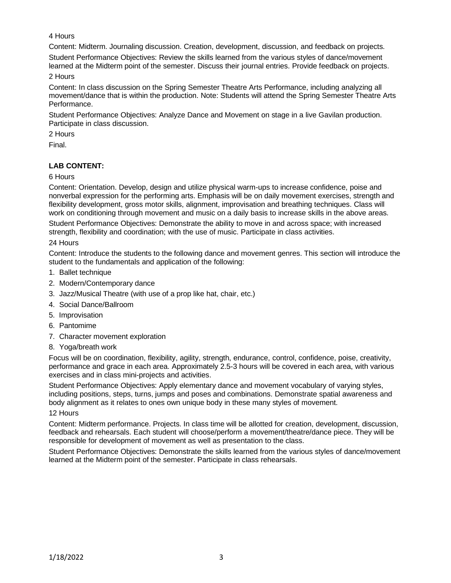### 4 Hours

Content: Midterm. Journaling discussion. Creation, development, discussion, and feedback on projects.

Student Performance Objectives: Review the skills learned from the various styles of dance/movement learned at the Midterm point of the semester. Discuss their journal entries. Provide feedback on projects.

2 Hours

Content: In class discussion on the Spring Semester Theatre Arts Performance, including analyzing all movement/dance that is within the production. Note: Students will attend the Spring Semester Theatre Arts Performance.

Student Performance Objectives: Analyze Dance and Movement on stage in a live Gavilan production. Participate in class discussion.

2 Hours

Final.

# **LAB CONTENT:**

### 6 Hours

Content: Orientation. Develop, design and utilize physical warm-ups to increase confidence, poise and nonverbal expression for the performing arts. Emphasis will be on daily movement exercises, strength and flexibility development, gross motor skills, alignment, improvisation and breathing techniques. Class will work on conditioning through movement and music on a daily basis to increase skills in the above areas.

Student Performance Objectives: Demonstrate the ability to move in and across space; with increased strength, flexibility and coordination; with the use of music. Participate in class activities.

#### 24 Hours

Content: Introduce the students to the following dance and movement genres. This section will introduce the student to the fundamentals and application of the following:

- 1. Ballet technique
- 2. Modern/Contemporary dance
- 3. Jazz/Musical Theatre (with use of a prop like hat, chair, etc.)
- 4. Social Dance/Ballroom
- 5. Improvisation
- 6. Pantomime
- 7. Character movement exploration
- 8. Yoga/breath work

Focus will be on coordination, flexibility, agility, strength, endurance, control, confidence, poise, creativity, performance and grace in each area. Approximately 2.5-3 hours will be covered in each area, with various exercises and in class mini-projects and activities.

Student Performance Objectives: Apply elementary dance and movement vocabulary of varying styles, including positions, steps, turns, jumps and poses and combinations. Demonstrate spatial awareness and body alignment as it relates to ones own unique body in these many styles of movement.

### 12 Hours

Content: Midterm performance. Projects. In class time will be allotted for creation, development, discussion, feedback and rehearsals. Each student will choose/perform a movement/theatre/dance piece. They will be responsible for development of movement as well as presentation to the class.

Student Performance Objectives: Demonstrate the skills learned from the various styles of dance/movement learned at the Midterm point of the semester. Participate in class rehearsals.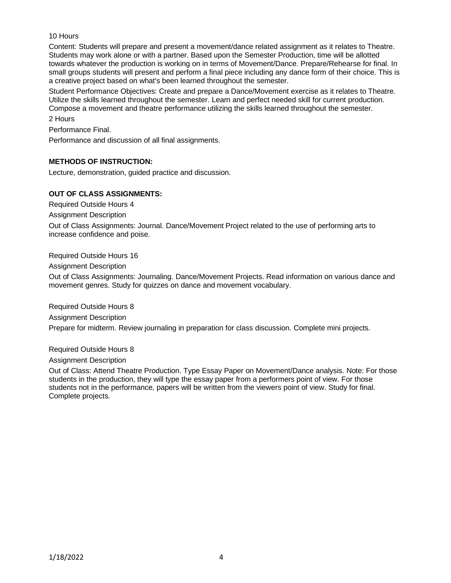### 10 Hours

Content: Students will prepare and present a movement/dance related assignment as it relates to Theatre. Students may work alone or with a partner. Based upon the Semester Production, time will be allotted towards whatever the production is working on in terms of Movement/Dance. Prepare/Rehearse for final. In small groups students will present and perform a final piece including any dance form of their choice. This is a creative project based on what's been learned throughout the semester.

Student Performance Objectives: Create and prepare a Dance/Movement exercise as it relates to Theatre. Utilize the skills learned throughout the semester. Learn and perfect needed skill for current production. Compose a movement and theatre performance utilizing the skills learned throughout the semester.

2 Hours

Performance Final.

Performance and discussion of all final assignments.

### **METHODS OF INSTRUCTION:**

Lecture, demonstration, guided practice and discussion.

#### **OUT OF CLASS ASSIGNMENTS:**

Required Outside Hours 4

Assignment Description

Out of Class Assignments: Journal. Dance/Movement Project related to the use of performing arts to increase confidence and poise.

Required Outside Hours 16

Assignment Description

Out of Class Assignments: Journaling. Dance/Movement Projects. Read information on various dance and movement genres. Study for quizzes on dance and movement vocabulary.

Required Outside Hours 8

Assignment Description

Prepare for midterm. Review journaling in preparation for class discussion. Complete mini projects.

Required Outside Hours 8

Assignment Description

Out of Class: Attend Theatre Production. Type Essay Paper on Movement/Dance analysis. Note: For those students in the production, they will type the essay paper from a performers point of view. For those students not in the performance, papers will be written from the viewers point of view. Study for final. Complete projects.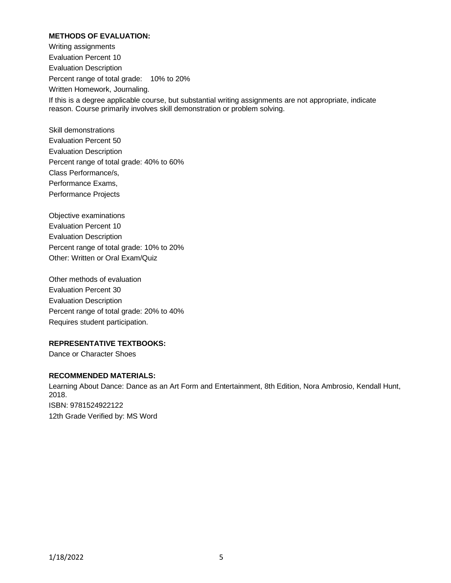### **METHODS OF EVALUATION:**

Writing assignments Evaluation Percent 10 Evaluation Description Percent range of total grade: 10% to 20% Written Homework, Journaling. If this is a degree applicable course, but substantial writing assignments are not appropriate, indicate reason. Course primarily involves skill demonstration or problem solving.

Skill demonstrations Evaluation Percent 50 Evaluation Description Percent range of total grade: 40% to 60% Class Performance/s, Performance Exams, Performance Projects

Objective examinations Evaluation Percent 10 Evaluation Description Percent range of total grade: 10% to 20% Other: Written or Oral Exam/Quiz

Other methods of evaluation Evaluation Percent 30 Evaluation Description Percent range of total grade: 20% to 40% Requires student participation.

#### **REPRESENTATIVE TEXTBOOKS:**

Dance or Character Shoes

#### **RECOMMENDED MATERIALS:**

Learning About Dance: Dance as an Art Form and Entertainment, 8th Edition, Nora Ambrosio, Kendall Hunt, 2018. ISBN: 9781524922122 12th Grade Verified by: MS Word